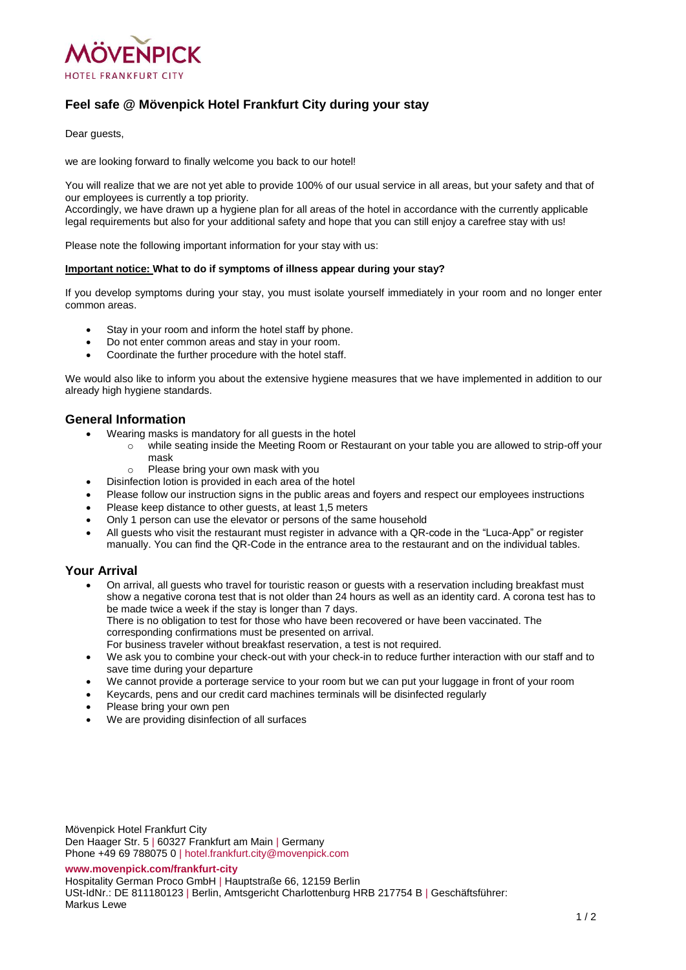

# **Feel safe @ Mövenpick Hotel Frankfurt City during your stay**

Dear quests.

we are looking forward to finally welcome you back to our hotel!

You will realize that we are not yet able to provide 100% of our usual service in all areas, but your safety and that of our employees is currently a top priority.

Accordingly, we have drawn up a hygiene plan for all areas of the hotel in accordance with the currently applicable legal requirements but also for your additional safety and hope that you can still enjoy a carefree stay with us!

Please note the following important information for your stay with us:

#### **Important notice: What to do if symptoms of illness appear during your stay?**

If you develop symptoms during your stay, you must isolate yourself immediately in your room and no longer enter common areas.

- Stay in your room and inform the hotel staff by phone.
- Do not enter common areas and stay in your room.
- Coordinate the further procedure with the hotel staff.

We would also like to inform you about the extensive hygiene measures that we have implemented in addition to our already high hygiene standards.

### **General Information**

- Wearing masks is mandatory for all guests in the hotel
	- while seating inside the Meeting Room or Restaurant on your table you are allowed to strip-off your mask
	- o Please bring your own mask with you
- Disinfection lotion is provided in each area of the hotel
- Please follow our instruction signs in the public areas and foyers and respect our employees instructions
- Please keep distance to other guests, at least 1,5 meters
- Only 1 person can use the elevator or persons of the same household
- All guests who visit the restaurant must register in advance with a QR-code in the "Luca-App" or register manually. You can find the QR-Code in the entrance area to the restaurant and on the individual tables.

#### **Your Arrival**

- On arrival, all guests who travel for touristic reason or guests with a reservation including breakfast must show a negative corona test that is not older than 24 hours as well as an identity card. A corona test has to be made twice a week if the stay is longer than 7 days. There is no obligation to test for those who have been recovered or have been vaccinated. The corresponding confirmations must be presented on arrival. For business traveler without breakfast reservation, a test is not required.
- We ask you to combine your check-out with your check-in to reduce further interaction with our staff and to save time during your departure
- We cannot provide a porterage service to your room but we can put your luggage in front of your room
- Keycards, pens and our credit card machines terminals will be disinfected regularly
- Please bring your own pen
- We are providing disinfection of all surfaces

Mövenpick Hotel Frankfurt City Den Haager Str. 5 | 60327 Frankfurt am Main | Germany Phone +49 69 788075 0 | hotel.frankfurt.city@movenpick.com

**[www.movenpick.com/frankfurt-city](http://www.movenpick.com/frankfurt-city)**

Hospitality German Proco GmbH | Hauptstraße 66, 12159 Berlin

USt-IdNr.: DE 811180123 | Berlin, Amtsgericht Charlottenburg HRB 217754 B | Geschäftsführer: Markus Lewe